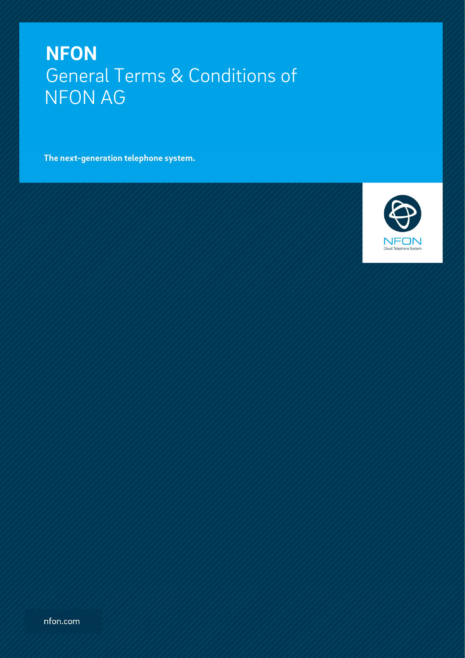The next-generation telephone system.

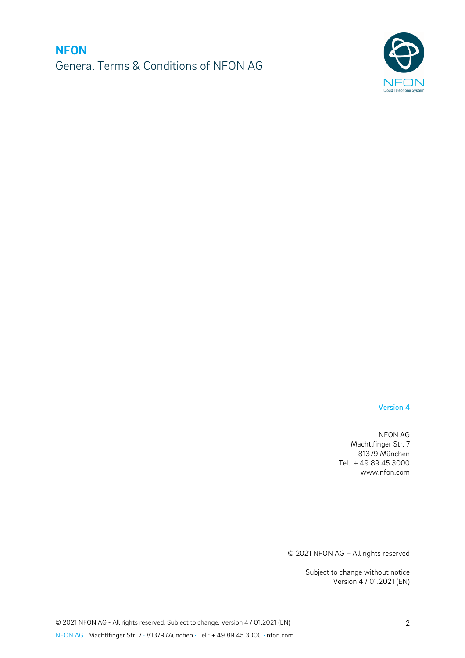

### Version 4

NFON AG Machtlfinger Str. 7 81379 München Tel.: + 49 89 45 3000 www.nfon.com

© 2021 NFON AG – All rights reserved

Subject to change without notice Version 4 / 01.2021 (EN)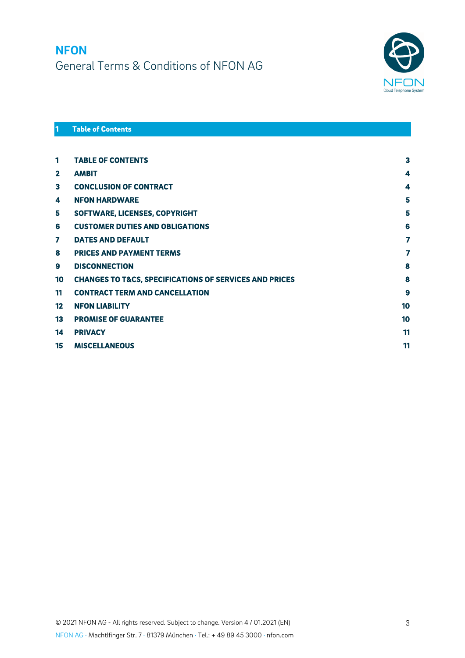

### **Table of Contents**

| 1               | <b>TABLE OF CONTENTS</b>                                          | 3  |
|-----------------|-------------------------------------------------------------------|----|
| $\mathbf{2}$    | <b>AMBIT</b>                                                      | 4  |
| 3               | <b>CONCLUSION OF CONTRACT</b>                                     | 4  |
| 4               | <b>NFON HARDWARE</b>                                              | 5  |
| 5               | SOFTWARE, LICENSES, COPYRIGHT                                     | 5  |
| 6               | <b>CUSTOMER DUTIES AND OBLIGATIONS</b>                            | 6  |
| 7               | <b>DATES AND DEFAULT</b>                                          | 7  |
| 8               | <b>PRICES AND PAYMENT TERMS</b>                                   | 7  |
| 9               | <b>DISCONNECTION</b>                                              | 8  |
| 10              | <b>CHANGES TO T&amp;CS, SPECIFICATIONS OF SERVICES AND PRICES</b> | 8  |
| 11              | <b>CONTRACT TERM AND CANCELLATION</b>                             | 9  |
| 12 <sub>2</sub> | <b>NFON LIABILITY</b>                                             | 10 |
| 13              | <b>PROMISE OF GUARANTEE</b>                                       | 10 |
| 14              | <b>PRIVACY</b>                                                    | 11 |
| 15              | <b>MISCELLANEOUS</b>                                              | 11 |
|                 |                                                                   |    |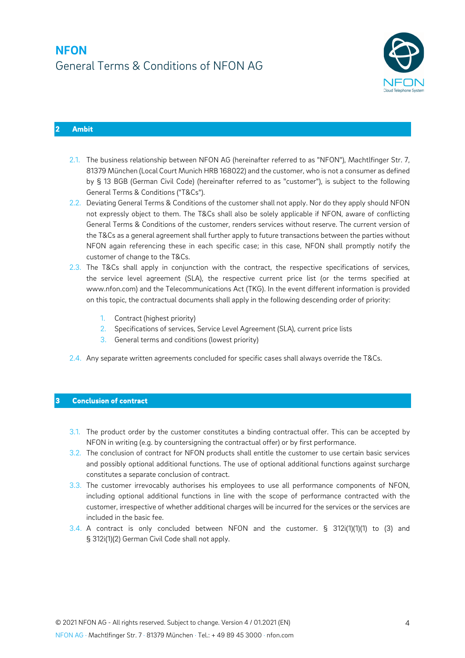

### **2 Ambit**

- 2.1. The business relationship between NFON AG (hereinafter referred to as "NFON"), Machtlfinger Str. 7, 81379 München (Local Court Munich HRB 168022) and the customer, who is not a consumer as defined by § 13 BGB (German Civil Code) (hereinafter referred to as "customer"), is subject to the following General Terms & Conditions ("T&Cs").
- 2.2. Deviating General Terms & Conditions of the customer shall not apply. Nor do they apply should NFON not expressly object to them. The T&Cs shall also be solely applicable if NFON, aware of conflicting General Terms & Conditions of the customer, renders services without reserve. The current version of the T&Cs as a general agreement shall further apply to future transactions between the parties without NFON again referencing these in each specific case; in this case, NFON shall promptly notify the customer of change to the T&Cs.
- 2.3. The T&Cs shall apply in conjunction with the contract, the respective specifications of services, the service level agreement (SLA), the respective current price list (or the terms specified at www.nfon.com) and the Telecommunications Act (TKG). In the event different information is provided on this topic, the contractual documents shall apply in the following descending order of priority:
	- 1. Contract (highest priority)
	- 2. Specifications of services, Service Level Agreement (SLA), current price lists
	- 3. General terms and conditions (lowest priority)
- 2.4. Any separate written agreements concluded for specific cases shall always override the T&Cs.

#### **3 Conclusion of contract**

- 3.1. The product order by the customer constitutes a binding contractual offer. This can be accepted by NFON in writing (e.g. by countersigning the contractual offer) or by first performance.
- 3.2. The conclusion of contract for NFON products shall entitle the customer to use certain basic services and possibly optional additional functions. The use of optional additional functions against surcharge constitutes a separate conclusion of contract.
- 3.3. The customer irrevocably authorises his employees to use all performance components of NFON, including optional additional functions in line with the scope of performance contracted with the customer, irrespective of whether additional charges will be incurred for the services or the services are included in the basic fee.
- 3.4. A contract is only concluded between NFON and the customer. § 312i(1)(1)(1) to (3) and § 312i(1)(2) German Civil Code shall not apply.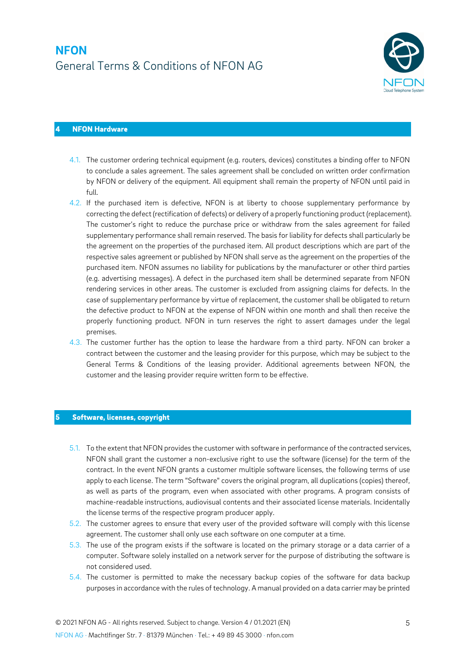

### **4 NFON Hardware**

- 4.1. The customer ordering technical equipment (e.g. routers, devices) constitutes a binding offer to NFON to conclude a sales agreement. The sales agreement shall be concluded on written order confirmation by NFON or delivery of the equipment. All equipment shall remain the property of NFON until paid in full.
- 4.2. If the purchased item is defective, NFON is at liberty to choose supplementary performance by correcting the defect (rectification of defects) or delivery of a properly functioning product (replacement). The customer's right to reduce the purchase price or withdraw from the sales agreement for failed supplementary performance shall remain reserved. The basis for liability for defects shall particularly be the agreement on the properties of the purchased item. All product descriptions which are part of the respective sales agreement or published by NFON shall serve as the agreement on the properties of the purchased item. NFON assumes no liability for publications by the manufacturer or other third parties (e.g. advertising messages). A defect in the purchased item shall be determined separate from NFON rendering services in other areas. The customer is excluded from assigning claims for defects. In the case of supplementary performance by virtue of replacement, the customer shall be obligated to return the defective product to NFON at the expense of NFON within one month and shall then receive the properly functioning product. NFON in turn reserves the right to assert damages under the legal premises.
- 4.3. The customer further has the option to lease the hardware from a third party. NFON can broker a contract between the customer and the leasing provider for this purpose, which may be subject to the General Terms & Conditions of the leasing provider. Additional agreements between NFON, the customer and the leasing provider require written form to be effective.

#### **5 Software, licenses, copyright**

- 5.1. To the extent that NFON provides the customer with software in performance of the contracted services, NFON shall grant the customer a non-exclusive right to use the software (license) for the term of the contract. In the event NFON grants a customer multiple software licenses, the following terms of use apply to each license. The term "Software" covers the original program, all duplications (copies) thereof, as well as parts of the program, even when associated with other programs. A program consists of machine-readable instructions, audiovisual contents and their associated license materials. Incidentally the license terms of the respective program producer apply.
- 5.2. The customer agrees to ensure that every user of the provided software will comply with this license agreement. The customer shall only use each software on one computer at a time.
- 5.3. The use of the program exists if the software is located on the primary storage or a data carrier of a computer. Software solely installed on a network server for the purpose of distributing the software is not considered used.
- 5.4. The customer is permitted to make the necessary backup copies of the software for data backup purposes in accordance with the rules of technology. A manual provided on a data carrier may be printed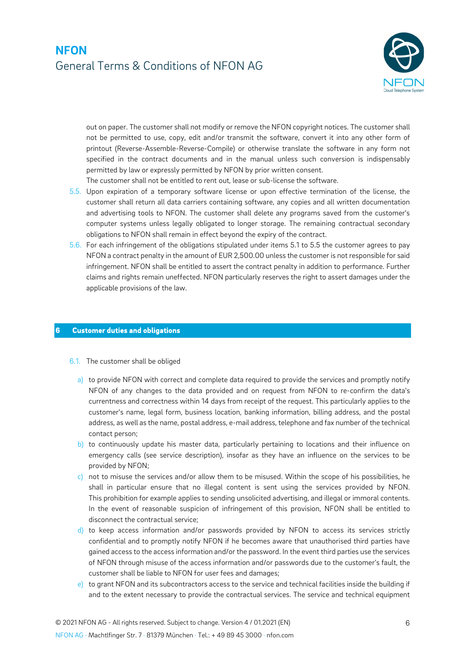

out on paper. The customer shall not modify or remove the NFON copyright notices. The customer shall not be permitted to use, copy, edit and/or transmit the software, convert it into any other form of printout (Reverse-Assemble-Reverse-Compile) or otherwise translate the software in any form not specified in the contract documents and in the manual unless such conversion is indispensably permitted by law or expressly permitted by NFON by prior written consent.

The customer shall not be entitled to rent out, lease or sub-license the software.

- 5.5. Upon expiration of a temporary software license or upon effective termination of the license, the customer shall return all data carriers containing software, any copies and all written documentation and advertising tools to NFON. The customer shall delete any programs saved from the customer's computer systems unless legally obligated to longer storage. The remaining contractual secondary obligations to NFON shall remain in effect beyond the expiry of the contract.
- 5.6. For each infringement of the obligations stipulated under items 5.1 to 5.5 the customer agrees to pay NFON a contract penalty in the amount of EUR 2,500.00 unless the customer is not responsible for said infringement. NFON shall be entitled to assert the contract penalty in addition to performance. Further claims and rights remain uneffected. NFON particularly reserves the right to assert damages under the applicable provisions of the law.

#### **6 Customer duties and obligations**

- 6.1. The customer shall be obliged
	- a) to provide NFON with correct and complete data required to provide the services and promptly notify NFON of any changes to the data provided and on request from NFON to re-confirm the data's currentness and correctness within 14 days from receipt of the request. This particularly applies to the customer's name, legal form, business location, banking information, billing address, and the postal address, as well as the name, postal address, e-mail address, telephone and fax number of the technical contact person;
	- b) to continuously update his master data, particularly pertaining to locations and their influence on emergency calls (see service description), insofar as they have an influence on the services to be provided by NFON;
	- c) not to misuse the services and/or allow them to be misused. Within the scope of his possibilities, he shall in particular ensure that no illegal content is sent using the services provided by NFON. This prohibition for example applies to sending unsolicited advertising, and illegal or immoral contents. In the event of reasonable suspicion of infringement of this provision, NFON shall be entitled to disconnect the contractual service;
	- d) to keep access information and/or passwords provided by NFON to access its services strictly confidential and to promptly notify NFON if he becomes aware that unauthorised third parties have gained access to the access information and/or the password. In the event third parties use the services of NFON through misuse of the access information and/or passwords due to the customer's fault, the customer shall be liable to NFON for user fees and damages;
	- e) to grant NFON and its subcontractors access to the service and technical facilities inside the building if and to the extent necessary to provide the contractual services. The service and technical equipment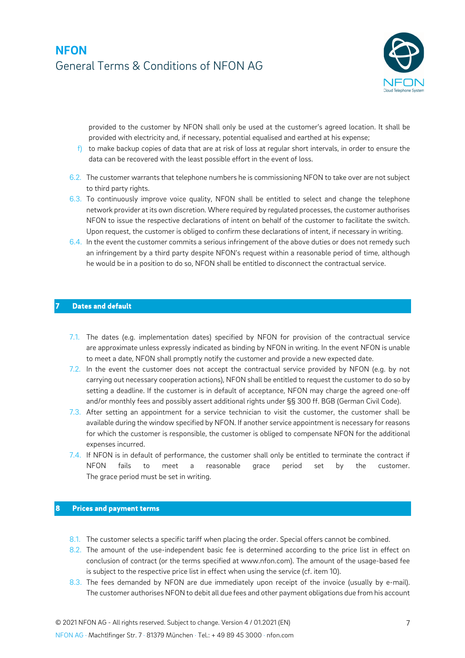

provided to the customer by NFON shall only be used at the customer's agreed location. It shall be provided with electricity and, if necessary, potential equalised and earthed at his expense;

- $f$  to make backup copies of data that are at risk of loss at regular short intervals, in order to ensure the data can be recovered with the least possible effort in the event of loss.
- 6.2. The customer warrants that telephone numbers he is commissioning NFON to take over are not subject to third party rights.
- 6.3. To continuously improve voice quality, NFON shall be entitled to select and change the telephone network provider at its own discretion. Where required by regulated processes, the customer authorises NFON to issue the respective declarations of intent on behalf of the customer to facilitate the switch. Upon request, the customer is obliged to confirm these declarations of intent, if necessary in writing.
- 6.4. In the event the customer commits a serious infringement of the above duties or does not remedy such an infringement by a third party despite NFON's request within a reasonable period of time, although he would be in a position to do so, NFON shall be entitled to disconnect the contractual service.

#### **7 Dates and default**

- 7.1. The dates (e.g. implementation dates) specified by NFON for provision of the contractual service are approximate unless expressly indicated as binding by NFON in writing. In the event NFON is unable to meet a date, NFON shall promptly notify the customer and provide a new expected date.
- 7.2. In the event the customer does not accept the contractual service provided by NFON (e.g. by not carrying out necessary cooperation actions), NFON shall be entitled to request the customer to do so by setting a deadline. If the customer is in default of acceptance, NFON may charge the agreed one-off and/or monthly fees and possibly assert additional rights under §§ 300 ff. BGB (German Civil Code).
- 7.3. After setting an appointment for a service technician to visit the customer, the customer shall be available during the window specified by NFON. If another service appointment is necessary for reasons for which the customer is responsible, the customer is obliged to compensate NFON for the additional expenses incurred.
- 7.4. If NFON is in default of performance, the customer shall only be entitled to terminate the contract if NFON fails to meet a reasonable grace period set by the customer. The grace period must be set in writing.

#### **8 Prices and payment terms**

- 8.1. The customer selects a specific tariff when placing the order. Special offers cannot be combined.
- 8.2. The amount of the use-independent basic fee is determined according to the price list in effect on conclusion of contract (or the terms specified at www.nfon.com). The amount of the usage-based fee is subject to the respective price list in effect when using the service (cf. item 10).
- 8.3. The fees demanded by NFON are due immediately upon receipt of the invoice (usually by e-mail). The customer authorises NFON to debit all due fees and other payment obligations due from his account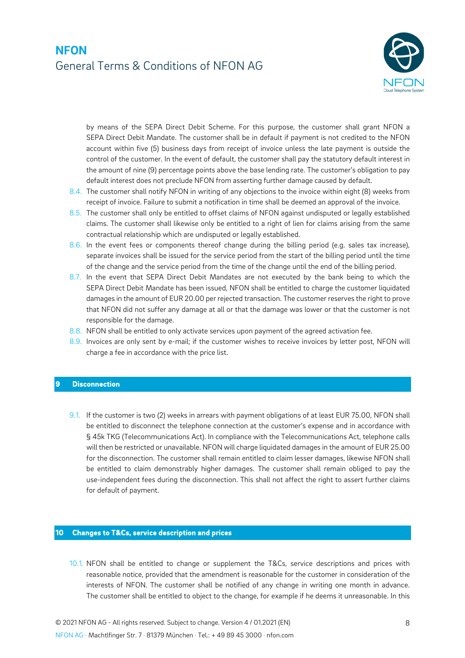

by means of the SEPA Direct Debit Scheme. For this purpose, the customer shall grant NFON a SEPA Direct Debit Mandate. The customer shall be in default if payment is not credited to the NFON account within five (5) business days from receipt of invoice unless the late payment is outside the control of the customer. In the event of default, the customer shall pay the statutory default interest in the amount of nine (9) percentage points above the base lending rate. The customer's obligation to pay default interest does not preclude NFON from asserting further damage caused by default.

- 8.4. The customer shall notify NFON in writing of any objections to the invoice within eight (8) weeks from receipt of invoice. Failure to submit a notification in time shall be deemed an approval of the invoice.
- 8.5. The customer shall only be entitled to offset claims of NFON against undisputed or legally established claims. The customer shall likewise only be entitled to a right of lien for claims arising from the same contractual relationship which are undisputed or legally established.
- 8.6. In the event fees or components thereof change during the billing period (e.g. sales tax increase), separate invoices shall be issued for the service period from the start of the billing period until the time of the change and the service period from the time of the change until the end of the billing period.
- 8.7. In the event that SEPA Direct Debit Mandates are not executed by the bank being to which the SEPA Direct Debit Mandate has been issued, NFON shall be entitled to charge the customer liquidated damages in the amount of EUR 20.00 per rejected transaction. The customer reserves the right to prove that NFON did not suffer any damage at all or that the damage was lower or that the customer is not responsible for the damage.
- 8.8. NFON shall be entitled to only activate services upon payment of the agreed activation fee.
- 8.9. Invoices are only sent by e-mail; if the customer wishes to receive invoices by letter post, NFON will charge a fee in accordance with the price list.

#### **9 Disconnection**

9.1. If the customer is two (2) weeks in arrears with payment obligations of at least EUR 75.00, NFON shall be entitled to disconnect the telephone connection at the customer's expense and in accordance with § 45k TKG (Telecommunications Act). In compliance with the Telecommunications Act, telephone calls will then be restricted or unavailable. NFON will charge liquidated damages in the amount of EUR 25.00 for the disconnection. The customer shall remain entitled to claim lesser damages, likewise NFON shall be entitled to claim demonstrably higher damages. The customer shall remain obliged to pay the use-independent fees during the disconnection. This shall not affect the right to assert further claims for default of payment.

#### **10 Changes to T&Cs, service description and prices**

10.1. NFON shall be entitled to change or supplement the T&Cs, service descriptions and prices with reasonable notice, provided that the amendment is reasonable for the customer in consideration of the interests of NFON. The customer shall be notified of any change in writing one month in advance. The customer shall be entitled to object to the change, for example if he deems it unreasonable. In this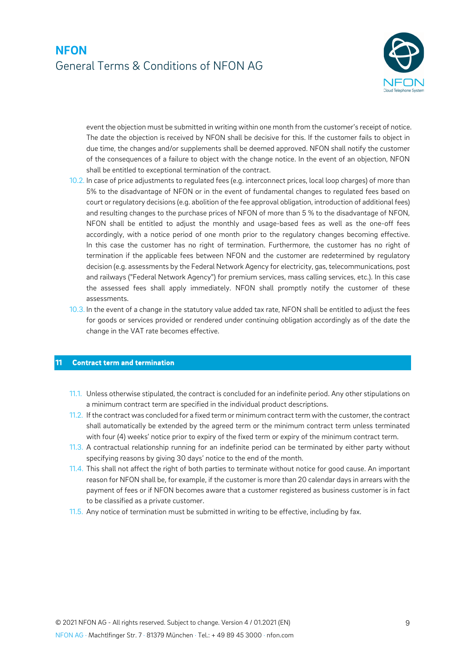

event the objection must be submitted in writing within one month from the customer's receipt of notice. The date the objection is received by NFON shall be decisive for this. If the customer fails to object in due time, the changes and/or supplements shall be deemed approved. NFON shall notify the customer of the consequences of a failure to object with the change notice. In the event of an objection, NFON shall be entitled to exceptional termination of the contract.

- 10.2. In case of price adjustments to regulated fees (e.g. interconnect prices, local loop charges) of more than 5% to the disadvantage of NFON or in the event of fundamental changes to regulated fees based on court or regulatory decisions (e.g. abolition of the fee approval obligation, introduction of additional fees) and resulting changes to the purchase prices of NFON of more than 5 % to the disadvantage of NFON, NFON shall be entitled to adjust the monthly and usage-based fees as well as the one-off fees accordingly, with a notice period of one month prior to the regulatory changes becoming effective. In this case the customer has no right of termination. Furthermore, the customer has no right of termination if the applicable fees between NFON and the customer are redetermined by regulatory decision (e.g. assessments by the Federal Network Agency for electricity, gas, telecommunications, post and railways ("Federal Network Agency") for premium services, mass calling services, etc.). In this case the assessed fees shall apply immediately. NFON shall promptly notify the customer of these assessments.
- 10.3. In the event of a change in the statutory value added tax rate, NFON shall be entitled to adjust the fees for goods or services provided or rendered under continuing obligation accordingly as of the date the change in the VAT rate becomes effective.

#### **11 Contract term and termination**

- 11.1. Unless otherwise stipulated, the contract is concluded for an indefinite period. Any other stipulations on a minimum contract term are specified in the individual product descriptions.
- 11.2. If the contract was concluded for a fixed term or minimum contract term with the customer, the contract shall automatically be extended by the agreed term or the minimum contract term unless terminated with four (4) weeks' notice prior to expiry of the fixed term or expiry of the minimum contract term.
- 11.3. A contractual relationship running for an indefinite period can be terminated by either party without specifying reasons by giving 30 days' notice to the end of the month.
- 11.4. This shall not affect the right of both parties to terminate without notice for good cause. An important reason for NFON shall be, for example, if the customer is more than 20 calendar days in arrears with the payment of fees or if NFON becomes aware that a customer registered as business customer is in fact to be classified as a private customer.
- 11.5. Any notice of termination must be submitted in writing to be effective, including by fax.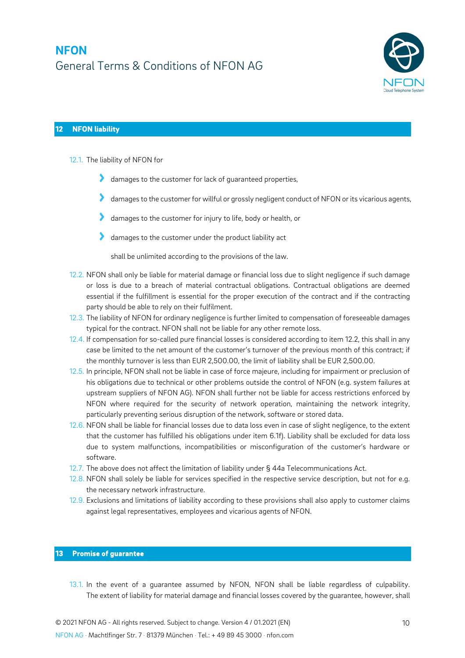

### **12 NFON liability**

- 12.1. The liability of NFON for
	- damages to the customer for lack of guaranteed properties,
	- damages to the customer for willful or grossly negligent conduct of NFON or its vicarious agents,
	- damages to the customer for injury to life, body or health, or
	- damages to the customer under the product liability act

shall be unlimited according to the provisions of the law.

- 12.2. NFON shall only be liable for material damage or financial loss due to slight negligence if such damage or loss is due to a breach of material contractual obligations. Contractual obligations are deemed essential if the fulfillment is essential for the proper execution of the contract and if the contracting party should be able to rely on their fulfilment.
- 12.3. The liability of NFON for ordinary negligence is further limited to compensation of foreseeable damages typical for the contract. NFON shall not be liable for any other remote loss.
- 12.4. If compensation for so-called pure financial losses is considered according to item 12.2, this shall in any case be limited to the net amount of the customer's turnover of the previous month of this contract; if the monthly turnover is less than EUR 2,500.00, the limit of liability shall be EUR 2,500.00.
- 12.5. In principle, NFON shall not be liable in case of force majeure, including for impairment or preclusion of his obligations due to technical or other problems outside the control of NFON (e.g. system failures at upstream suppliers of NFON AG). NFON shall further not be liable for access restrictions enforced by NFON where required for the security of network operation, maintaining the network integrity, particularly preventing serious disruption of the network, software or stored data.
- 12.6. NFON shall be liable for financial losses due to data loss even in case of slight negligence, to the extent that the customer has fulfilled his obligations under item 6.1f). Liability shall be excluded for data loss due to system malfunctions, incompatibilities or misconfiguration of the customer's hardware or software.
- 12.7. The above does not affect the limitation of liability under § 44a Telecommunications Act.
- 12.8. NFON shall solely be liable for services specified in the respective service description, but not for e.g. the necessary network infrastructure.
- 12.9. Exclusions and limitations of liability according to these provisions shall also apply to customer claims against legal representatives, employees and vicarious agents of NFON.

#### **13 Promise of guarantee**

13.1. In the event of a guarantee assumed by NFON, NFON shall be liable regardless of culpability. The extent of liability for material damage and financial losses covered by the guarantee, however, shall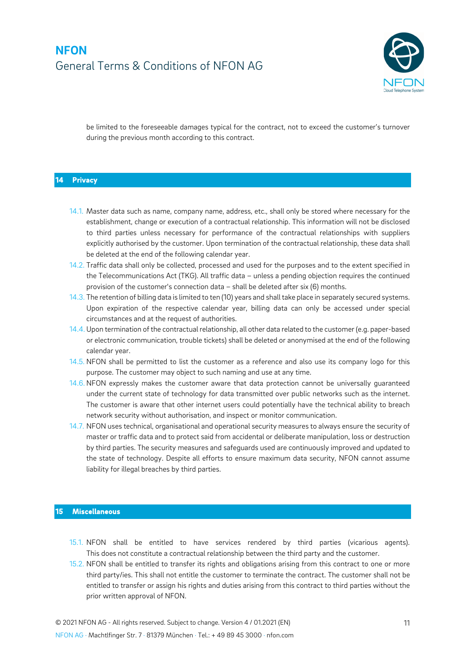

be limited to the foreseeable damages typical for the contract, not to exceed the customer's turnover during the previous month according to this contract.

#### **14 Privacy**

- 14.1. Master data such as name, company name, address, etc., shall only be stored where necessary for the establishment, change or execution of a contractual relationship. This information will not be disclosed to third parties unless necessary for performance of the contractual relationships with suppliers explicitly authorised by the customer. Upon termination of the contractual relationship, these data shall be deleted at the end of the following calendar year.
- 14.2. Traffic data shall only be collected, processed and used for the purposes and to the extent specified in the Telecommunications Act (TKG). All traffic data – unless a pending objection requires the continued provision of the customer's connection data – shall be deleted after six (6) months.
- 14.3. The retention of billing data is limited to ten (10) years and shall take place in separately secured systems. Upon expiration of the respective calendar year, billing data can only be accessed under special circumstances and at the request of authorities.
- 14.4. Upon termination of the contractual relationship, all other data related to the customer (e.g. paper-based or electronic communication, trouble tickets) shall be deleted or anonymised at the end of the following calendar year.
- 14.5. NFON shall be permitted to list the customer as a reference and also use its company logo for this purpose. The customer may object to such naming and use at any time.
- 14.6. NFON expressly makes the customer aware that data protection cannot be universally guaranteed under the current state of technology for data transmitted over public networks such as the internet. The customer is aware that other internet users could potentially have the technical ability to breach network security without authorisation, and inspect or monitor communication.
- 14.7. NFON uses technical, organisational and operational security measures to always ensure the security of master or traffic data and to protect said from accidental or deliberate manipulation, loss or destruction by third parties. The security measures and safeguards used are continuously improved and updated to the state of technology. Despite all efforts to ensure maximum data security, NFON cannot assume liability for illegal breaches by third parties.

#### **15 Miscellaneous**

- 15.1. NFON shall be entitled to have services rendered by third parties (vicarious agents). This does not constitute a contractual relationship between the third party and the customer.
- 15.2. NFON shall be entitled to transfer its rights and obligations arising from this contract to one or more third party/ies. This shall not entitle the customer to terminate the contract. The customer shall not be entitled to transfer or assign his rights and duties arising from this contract to third parties without the prior written approval of NFON.